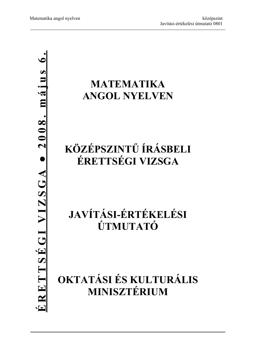### **MATEMATIKA ANGOL NYELVEN**

## **KÖZÉPSZINTŰ ÍRÁSBELI ÉRETTSÉGI VIZSGA**

# **JAVÍTÁSI-ÉRTÉKELÉSI ÚTMUTATÓ**

## **OKTATÁSI ÉS KULTURÁLIS MINISZTÉRIUM**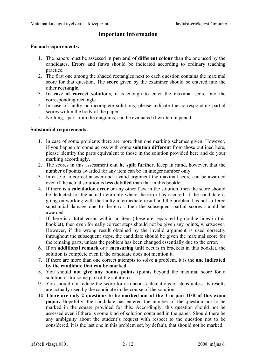### **Important Information**

#### **Formal requirements:**

- 1. The papers must be assessed in **pen and of different colour** than the one used by the candidates. Errors and flaws should be indicated according to ordinary teaching practice.
- 2. The first one among the shaded rectangles next to each question contains the maximal score for that question. The **score** given by the examiner should be entered into the other **rectangle**.
- 3. **In case of correct solutions**, it is enough to enter the maximal score into the corresponding rectangle.
- 4. In case of faulty or incomplete solutions, please indicate the corresponding partial scores within the body of the paper.
- 5. Nothing, apart from the diagrams, can be evaluated if written in pencil.

### **Substantial requirements:**

- 1. In case of some problems there are more than one marking schemes given. However, if you happen to come across with some **solution different** from those outlined here, please identify the parts equivalent to those in the solution provided here and do your marking accordingly.
- 2. The scores in this assessment **can be split further**. Keep in mind, however, that the number of points awarded for any item can be an integer number only.
- 3. In case of a correct answer and a valid argument the maximal score can be awarded even if the actual solution is **less detailed** than that in this booklet.
- 4. If there is a **calculation error** or any other flaw in the solution, then the score should be deducted for the actual item only where the error has occured. If the candidate is going on working with the faulty intermediate result and the problem has not suffered substantial damage due to the error, then the subsequent partial scores should be awarded.
- 5. If there is a **fatal error** within an item (these are separated by double lines in this booklet), then even formally correct steps should not be given any points, whatsoever. However, if the wrong result obtained by the invalid argument is used correctly throughout the subsequent steps, the candidate should be given the maximal score for the remaing parts, unless the problem has been changed essentially due to the error.
- 6. If an **additional remark** or a **measuring unit** occurs in brackets in this booklet, the solution is complete even if the candidate does not mention it.
- 7. If there are more than one correct attempts to solve a problem, it is the **one indicated by the candidate that can be marked**.
- 8. You should **not give any bonus points** (points beyond the maximal score for a solution or for some part of the solution).
- 9. You should not reduce the score for erroneous calculations or steps unless its results are actually used by the candidate in the course of the solution.
- 10. **There are only 2 questions to be marked out of the 3 in part II/B of this exam paper.** Hopefully, the candidate has entered the number of the question not to be marked in the square provided for this. Accordingly, this question should not be assessed even if there is some kind of solution contained in the paper. Should there be any ambiguity about the student's request with respect to the question not to be considered, it is the last one in this problem set, by default, that should not be marked.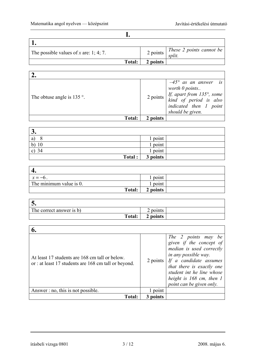**I.** 

| The possible values of x are: 1; 4; 7. |               | 2 points | These 2 points cannot be<br>split. |
|----------------------------------------|---------------|----------|------------------------------------|
|                                        | <b>Total:</b> | 2 points |                                    |

| The obtuse angle is $135$ °. |          | $-45^{\circ}$ as an answer is worth 0 points<br>2 points $\begin{cases}$ <i>If, apart from 135°, some</i><br><i>kind of period is also indicated then 1 point</i><br>should be given. |
|------------------------------|----------|---------------------------------------------------------------------------------------------------------------------------------------------------------------------------------------|
| Total:                       | 2 points |                                                                                                                                                                                       |

| J.       |          |  |
|----------|----------|--|
| a)       | l point  |  |
| 10<br>b) | l point  |  |
| 34<br>C) | point    |  |
| Total :  | 3 points |  |

| $x = -6$                | point    |  |
|-------------------------|----------|--|
| The minimum value is 0. | point    |  |
| Total:                  | 2 points |  |

| J.                       |          |  |
|--------------------------|----------|--|
| The correct answer is b) | ! points |  |
| Total:                   | 2 points |  |

| At least 17 students are 168 cm tall or below.<br>or : at least 17 students are 168 cm tall or beyond. | 2 points | The 2 points may be<br>given if the concept of<br>median is used correctly<br>in any possible way.<br>If a candidate assumes<br>that there is exactly one<br>student int he line whose<br>height is 168 cm, then 1<br>point can be given only. |
|--------------------------------------------------------------------------------------------------------|----------|------------------------------------------------------------------------------------------------------------------------------------------------------------------------------------------------------------------------------------------------|
| Answer $: no, this is not possible.$                                                                   | l point  |                                                                                                                                                                                                                                                |
| <b>Total:</b>                                                                                          | 3 points |                                                                                                                                                                                                                                                |

írásbeli vizsga 0801 3 / 12 2008. május 6.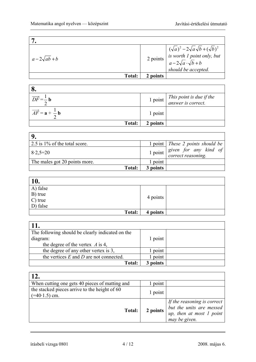٦

| $a-2\sqrt{ab}+b$ |          | 2 points $\begin{cases} (\sqrt{a})^2 - 2\sqrt{a} \sqrt{b} + (\sqrt{b})^2 \\$ is worth 1 point only, but<br>$a - 2\sqrt{a} \cdot \sqrt{b} + b \\$ should be accepted. |
|------------------|----------|----------------------------------------------------------------------------------------------------------------------------------------------------------------------|
| <b>Total:</b>    | 2 points |                                                                                                                                                                      |

| o.                                                          |          |                                                                                     |
|-------------------------------------------------------------|----------|-------------------------------------------------------------------------------------|
| $\overrightarrow{DF} = \frac{1}{2} b$                       |          | 1 point $\begin{vmatrix} This point is due if the answer is correct. \end{vmatrix}$ |
| $\overrightarrow{AF} = \mathbf{a} + \frac{1}{2} \mathbf{b}$ | 1 point  |                                                                                     |
| <b>Total:</b>                                               | 2 points |                                                                                     |

| $2.5$ is 1% of the total score. |          | 1 point   These 2 points should be       |
|---------------------------------|----------|------------------------------------------|
| $8.2,5=20$                      | 1 point  | given for any kind of correct reasoning. |
| The males got 20 points more.   | l point  |                                          |
| Total:                          | 3 points |                                          |

| <b>10.</b>             |          |  |
|------------------------|----------|--|
| A) false               |          |  |
| B) true                |          |  |
| $\vert$ C) true        | 4 points |  |
| $\overline{D}$ ) false |          |  |
| Total:                 | 4 points |  |

| 11.                                              |          |  |
|--------------------------------------------------|----------|--|
| The following should be clearly indicated on the |          |  |
| diagram:                                         | 1 point  |  |
| the degree of the vertex $\vec{A}$ is 4,         |          |  |
| the degree of any other vertex is 3,             | 1 point  |  |
| the vertices $E$ and $D$ are not connected.      | point    |  |
| Total:                                           | 3 points |  |

| 12.                                                              |          |                                                                                                      |
|------------------------------------------------------------------|----------|------------------------------------------------------------------------------------------------------|
| When cutting one gets 40 pieces of matting and                   | point    |                                                                                                      |
| the stacked pieces arrive to the height of 60<br>$(=40.1.5)$ cm. | 1 point  |                                                                                                      |
| <b>Total:</b>                                                    | 2 points | If the reasoning is correct<br>but the units are messed<br>up, then at most 1 point<br>may be given. |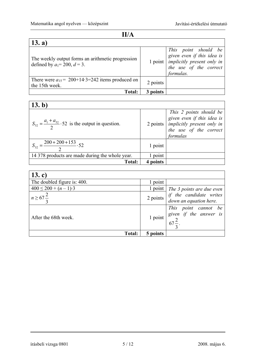$\overline{\phantom{a}}$ 

### **II/A**

| 13. a)                                                                                  |          |                                                                                                                                                |
|-----------------------------------------------------------------------------------------|----------|------------------------------------------------------------------------------------------------------------------------------------------------|
| The weekly output forms an arithmetic progression<br>defined by $a_1 = 200$ , $d = 3$ . |          | This point should be<br>given even if this idea is<br>1 point $\vert$ <i>implicitly present only in</i><br>the use of the correct<br>formulas. |
| There were $a_{15} = 200+14.3=242$ items produced on<br>the 15th week.                  | 2 points |                                                                                                                                                |
| Total:                                                                                  | 3 points |                                                                                                                                                |

| 13. b)                                                            |         |                                                                                                                                                                                          |
|-------------------------------------------------------------------|---------|------------------------------------------------------------------------------------------------------------------------------------------------------------------------------------------|
| $S_{52} = \frac{a_1 + a_{52}}{2}$ . 52 is the output in question. |         | This 2 points should be given even if this idea is<br>$\begin{array}{c cc}\n2 \text{ points} & \text{implicity present only in} \\ \hline\nthe use of the correct formulas\n\end{array}$ |
| $\frac{-200+200+153}{2}$ . 52                                     | 1 point |                                                                                                                                                                                          |
| 14 378 products are made during the whole year.                   | point   |                                                                                                                                                                                          |
| <b>Total:</b>                                                     | points  |                                                                                                                                                                                          |

| $13.\c)$                     |          |                                                                                                         |
|------------------------------|----------|---------------------------------------------------------------------------------------------------------|
| The doubled figure is: 400.  | 1 point  |                                                                                                         |
| $400 \le 200 + (n-1)\cdot 3$ |          | 1 point The 3 points are due even                                                                       |
| $n \geq 67 \frac{2}{3}$      | 2 points | if the candidate writes<br>down an equation here.                                                       |
| After the 68th week.         |          | $\begin{array}{c cc}\n\text{This point cannot be given if the answer is} \\ 67\frac{2}{9}\n\end{array}$ |
| Total:                       | 5 points |                                                                                                         |

írásbeli vizsga 0801 5 / 12 2008. május 6.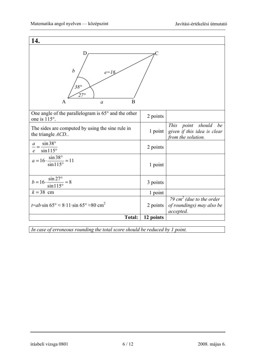| 14.                                                                                         |           |                                                                                |  |  |
|---------------------------------------------------------------------------------------------|-----------|--------------------------------------------------------------------------------|--|--|
| D<br>$\boldsymbol{b}$<br>$e = 16$<br>$38^\circ$<br>$27^\circ$<br>B<br>A<br>$\boldsymbol{a}$ |           |                                                                                |  |  |
| One angle of the parallelogram is $65^{\circ}$ and the other<br>one is 115°.                | 2 points  |                                                                                |  |  |
| The sides are computed by using the sine rule in<br>the triangle ACD                        | 1 point   | This point should<br>be<br>given if this idea is clear<br>from the solution.   |  |  |
| $\sin 38^\circ$<br>$\mathfrak a$<br>$sin 115^\circ$<br>$\mathcal{C}_{\mathcal{C}}$          | 2 points  |                                                                                |  |  |
| $a = 16 \cdot \frac{\sin 38^{\circ}}{\sin 115^{\circ}} \approx 11$                          | 1 point   |                                                                                |  |  |
| $b = 16 \cdot \frac{\sin 27^{\circ}}{\sin 115^{\circ}} \approx 8$                           | 3 points  |                                                                                |  |  |
| $k = 38$ cm                                                                                 | 1 point   |                                                                                |  |  |
| $t=a b \cdot \sin 65^\circ \approx 8.11 \cdot \sin 65^\circ \approx 80 \text{ cm}^2$        | 2 points  | 79 cm <sup>2</sup> (due to the order<br>of roundings) may also be<br>accepted. |  |  |
| <b>Total:</b>                                                                               | 12 points |                                                                                |  |  |

*In case of erroneous rounding the total score should be reduced by 1 point.*

írásbeli vizsga 0801 6 / 12 2008. május 6.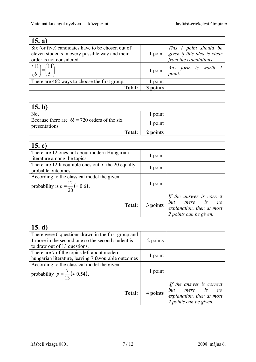| 15. a)                                                                                                                           |          |                                                                                                                       |
|----------------------------------------------------------------------------------------------------------------------------------|----------|-----------------------------------------------------------------------------------------------------------------------|
| Six (or five) candidates have to be chosen out of<br>eleven students in every possible way and their<br>order is not considered. |          | $\boxed{\frac{7 \text{his} \mid \text{point} \text{ should be}}{1 \text{ point} \text{ given if this idea is clear}}$ |
| $(11)$ $\overline{11}$                                                                                                           |          | 1 point $\begin{vmatrix} Any \ form & is \ worth & 1 \ point. \end{vmatrix}$                                          |
| There are 462 ways to choose the first group.                                                                                    | 1 point  |                                                                                                                       |
| Total:                                                                                                                           | 3 points |                                                                                                                       |

| 15. $b$                                                          |          |  |
|------------------------------------------------------------------|----------|--|
| No,                                                              | l point  |  |
| Because there are $6! = 720$ orders of the six<br>presentations. | 1 point  |  |
| Total:                                                           | 2 points |  |

| 15. c)                                             |          |                           |
|----------------------------------------------------|----------|---------------------------|
| There are 12 ones not about modern Hungarian       | 1 point  |                           |
| literature among the topics.                       |          |                           |
| There are 12 favourable ones out of the 20 equally | 1 point  |                           |
| probable outcomes.                                 |          |                           |
| According to the classical model the given         |          |                           |
| probability is $p = \frac{12}{20} (= 0.6)$ .       | 1 point  |                           |
|                                                    |          | If the answer is correct  |
| <b>Total:</b>                                      | 3 points | but there is no           |
|                                                    |          | explanation, then at most |
|                                                    |          | 2 points can be given.    |

| 15. $d)$                                                                          |          |                                              |
|-----------------------------------------------------------------------------------|----------|----------------------------------------------|
| There were 6 questions drawn in the first group and                               |          |                                              |
| 1 more in the second one so the second student is<br>to draw out of 13 questions. | 2 points |                                              |
| There are 7 of the topics left about modern                                       |          |                                              |
| hungarian literature, leaving 7 favourable outcomes                               | 1 point  |                                              |
| According to the classical model the given                                        |          |                                              |
| probability $p = \frac{7}{13} (\approx 0.54)$ .                                   | 1 point  |                                              |
|                                                                                   |          | If the answer is correct                     |
| <b>Total:</b>                                                                     | 4 points | but there is no<br>explanation, then at most |
|                                                                                   |          | 2 points can be given.                       |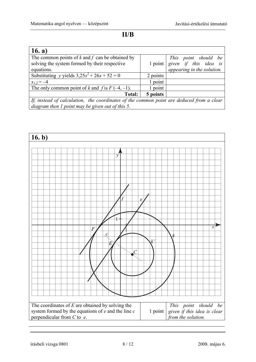**II/B** 

| 16. $a)$                                                                                 |          |                                                                                        |
|------------------------------------------------------------------------------------------|----------|----------------------------------------------------------------------------------------|
| The common points of $k$ and $f$ can be obtained by                                      |          |                                                                                        |
| solving the system formed by their respective                                            |          |                                                                                        |
| equations.                                                                               |          | 1 point point should be<br>1 point given if this idea is<br>appearing in the solution. |
| Substituting y yields $3,25x^2 + 26x + 52 = 0$                                           | 2 points |                                                                                        |
| $x_{1,2} = -4$                                                                           | 1 point  |                                                                                        |
| The only common point of k and f is $F(-4, -1)$ .                                        | 1 point  |                                                                                        |
| Total:                                                                                   | 5 points |                                                                                        |
| If, instead of calculation, the coordinates of the common point are deduced from a clear |          |                                                                                        |
| diagram then 1 point may be given out of this 5.                                         |          |                                                                                        |

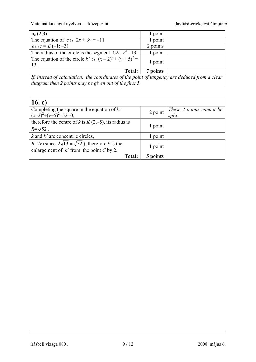Matematika angol nyelven — középszint Javítási-értékelési útmutató

| $n_c(2;3)$                                                                                  | 1 point  |  |  |
|---------------------------------------------------------------------------------------------|----------|--|--|
| The equation of c is $2x + 3y = -11$                                                        | 1 point  |  |  |
| $e \cap c = E(-1, -3)$                                                                      | 2 points |  |  |
| The radius of the circle is the segment $CE : r^2 = 13$ .                                   | 1 point  |  |  |
| The equation of the circle k' is $(x-2)^2 + (y+5)^2 =$<br>13.                               | 1 point  |  |  |
| <b>Total:</b>                                                                               | 7 points |  |  |
| If instead of calculation the coordinates of the point of tangency are deduced from a clear |          |  |  |

If, instead of calculation, the coordinates of the point of tangency are deduced from a clear *diagram then 2 points may be given out of the first 5.* 

| 16. c)                                                                                                      |          |                                 |
|-------------------------------------------------------------------------------------------------------------|----------|---------------------------------|
| Completing the square in the equation of $k$ :<br>$(x-2)^{2}+(y+5)^{2}-52=0$ ,                              | 2 point  | These 2 points cannot be split. |
| therefore the centre of k is $K(2,-5)$ , its radius is<br>$R = \sqrt{52}$ .                                 | 1 point  |                                 |
| $k$ and $k'$ are concentric circles,                                                                        | point    |                                 |
| $R=2r$ (since $2\sqrt{13} = \sqrt{52}$ ), therefore k is the<br>enlargement of $k$ ' from the point C by 2. | 1 point  |                                 |
| <b>Total:</b>                                                                                               | 5 points |                                 |

írásbeli vizsga 0801 9 / 12 2008. május 6.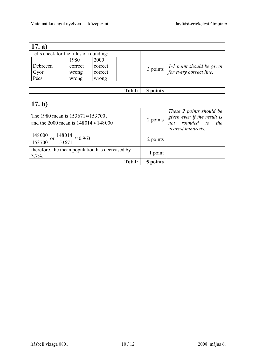| (17. a)                                |         |         |               |          |                                                        |
|----------------------------------------|---------|---------|---------------|----------|--------------------------------------------------------|
| Let's check for the rules of rounding: |         |         |               |          |                                                        |
|                                        | 1980    | 2000    |               |          |                                                        |
| Debrecen                               | correct | correct |               |          |                                                        |
| Győr                                   | wrong   | correct |               | 3 points | $1-1$ point should be given<br>for every correct line. |
| Pécs                                   | wrong   | wrong   |               |          |                                                        |
|                                        |         |         |               |          |                                                        |
|                                        |         |         | <b>Total:</b> | 3 points |                                                        |

| 17. $b$ )                                                                                           |          |                                                                                                    |
|-----------------------------------------------------------------------------------------------------|----------|----------------------------------------------------------------------------------------------------|
| The 1980 mean is $153671 \approx 153700$ ,<br>and the 2000 mean is $148014 \approx 148000$          | 2 points | These 2 points should be<br>given even if the result is<br>not rounded to the<br>nearest hundreds. |
| $\frac{148000}{\text{or}}$ or $\frac{1}{2}$<br>$\frac{148014}{2} \approx 0.963$<br>153700<br>153671 | 2 points |                                                                                                    |
| therefore, the mean population has decreased by<br>$3,7\%$ .                                        | 1 point  |                                                                                                    |
| <b>Total:</b>                                                                                       | 5 points |                                                                                                    |

írásbeli vizsga 0801 10 / 12 2008. május 6.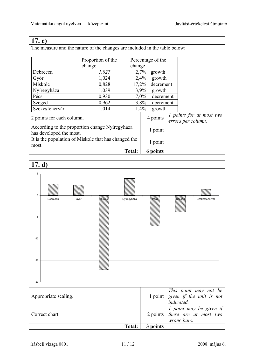The measure and the nature of the changes are included in the table below:

|                                                      | Proportion of the | Percentage of the    |          |           |                                                       |  |
|------------------------------------------------------|-------------------|----------------------|----------|-----------|-------------------------------------------------------|--|
|                                                      | change            | change               |          |           |                                                       |  |
| Debrecen                                             | 1,027             |                      | 2,7%     | growth    |                                                       |  |
| Győr                                                 | 1,024             |                      | 2,4%     | growth    |                                                       |  |
| Miskolc                                              | 0,828             | 17,2%                |          | decrement |                                                       |  |
| Nyíregyháza                                          | 1,039             | 3,9%<br>growth       |          |           |                                                       |  |
| Pécs                                                 | 0,930             | $7,0\%$<br>decrement |          |           |                                                       |  |
| Szeged                                               | 0,962             | 3,8%<br>decrement    |          |           |                                                       |  |
| Székesfehérvár                                       | 1,014             | 1,4%<br>growth       |          |           |                                                       |  |
| 2 points for each column.                            |                   |                      | 4 points |           | <i>l</i> points for at most two<br>errors per column. |  |
| According to the proportion change Nyíregyháza       |                   |                      | 1 point  |           |                                                       |  |
| has developed the most.                              |                   |                      |          |           |                                                       |  |
| It is the population of Miskolc that has changed the |                   | 1 point              |          |           |                                                       |  |
| most.                                                |                   |                      |          |           |                                                       |  |
|                                                      |                   | <b>Total:</b>        | 6 points |           |                                                       |  |